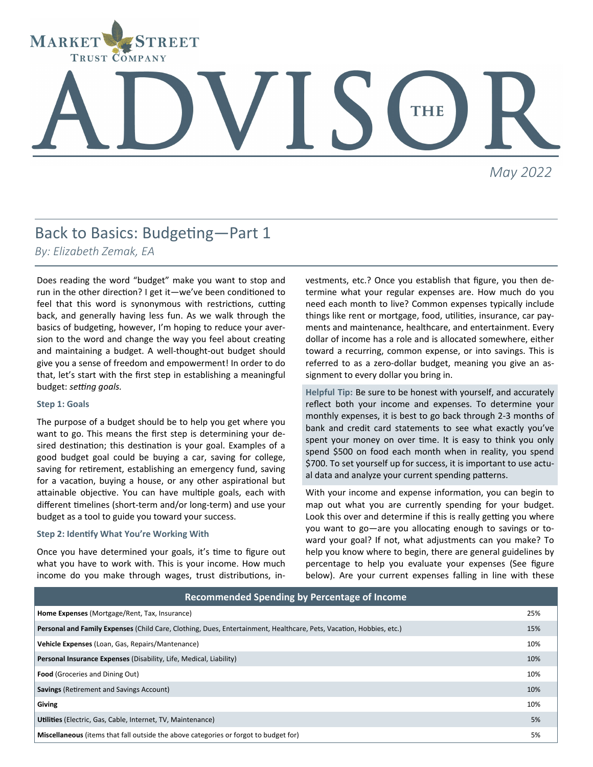

# THE

*May 2022*

## Back to Basics: Budgeting—Part 1

*By: Elizabeth Zemak, EA*

Does reading the word "budget" make you want to stop and run in the other direction? I get it—we've been conditioned to feel that this word is synonymous with restrictions, cutting back, and generally having less fun. As we walk through the basics of budgeting, however, I'm hoping to reduce your aversion to the word and change the way you feel about creating and maintaining a budget. A well-thought-out budget should give you a sense of freedom and empowerment! In order to do that, let's start with the first step in establishing a meaningful budget: *setting goals.* 

#### **Step 1: Goals**

The purpose of a budget should be to help you get where you want to go. This means the first step is determining your desired destination; this destination is your goal. Examples of a good budget goal could be buying a car, saving for college, saving for retirement, establishing an emergency fund, saving for a vacation, buying a house, or any other aspirational but attainable objective. You can have multiple goals, each with different timelines (short-term and/or long-term) and use your budget as a tool to guide you toward your success.

#### **Step 2: Identify What You're Working With**

Once you have determined your goals, it's time to figure out what you have to work with. This is your income. How much income do you make through wages, trust distributions, in-

vestments, etc.? Once you establish that figure, you then determine what your regular expenses are. How much do you need each month to live? Common expenses typically include things like rent or mortgage, food, utilities, insurance, car payments and maintenance, healthcare, and entertainment. Every dollar of income has a role and is allocated somewhere, either toward a recurring, common expense, or into savings. This is referred to as a zero-dollar budget, meaning you give an assignment to every dollar you bring in.

**Helpful Tip:** Be sure to be honest with yourself, and accurately reflect both your income and expenses. To determine your monthly expenses, it is best to go back through 2-3 months of bank and credit card statements to see what exactly you've spent your money on over time. It is easy to think you only spend \$500 on food each month when in reality, you spend \$700. To set yourself up for success, it is important to use actual data and analyze your current spending patterns.

With your income and expense information, you can begin to map out what you are currently spending for your budget. Look this over and determine if this is really getting you where you want to go—are you allocating enough to savings or toward your goal? If not, what adjustments can you make? To help you know where to begin, there are general guidelines by percentage to help you evaluate your expenses (See figure below). Are your current expenses falling in line with these

| Recommended Spending by Percentage of Income                                                                        |     |
|---------------------------------------------------------------------------------------------------------------------|-----|
| Home Expenses (Mortgage/Rent, Tax, Insurance)                                                                       | 25% |
| Personal and Family Expenses (Child Care, Clothing, Dues, Entertainment, Healthcare, Pets, Vacation, Hobbies, etc.) | 15% |
| Vehicle Expenses (Loan, Gas, Repairs/Mantenance)                                                                    | 10% |
| <b>Personal Insurance Expenses (Disability, Life, Medical, Liability)</b>                                           | 10% |
| <b>Food</b> (Groceries and Dining Out)                                                                              | 10% |
| <b>Savings</b> (Retirement and Savings Account)                                                                     | 10% |
| Giving                                                                                                              | 10% |
| Utilities (Electric, Gas, Cable, Internet, TV, Maintenance)                                                         | 5%  |
| Miscellaneous (items that fall outside the above categories or forgot to budget for)                                | 5%  |